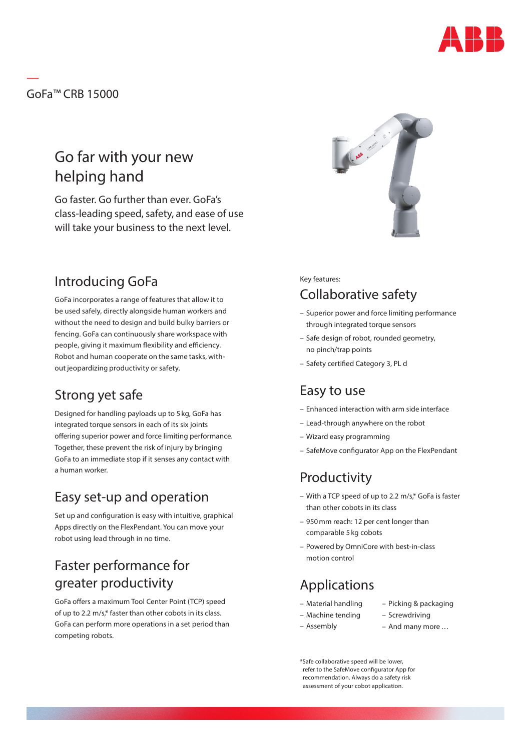

GoFa™ CRB 15000

—

# Go far with your new helping hand

Go faster. Go further than ever. GoFa's class-leading speed, safety, and ease of use will take your business to the next level.

### Introducing GoFa

GoFa incorporates a range of features that allow it to be used safely, directly alongside human workers and without the need to design and build bulky barriers or fencing. GoFa can continuously share workspace with people, giving it maximum flexibility and efficiency. Robot and human cooperate on the same tasks, without jeopardizing productivity or safety.

## Strong yet safe

Designed for handling payloads up to 5 kg, GoFa has integrated torque sensors in each of its six joints offering superior power and force limiting performance. Together, these prevent the risk of injury by bringing GoFa to an immediate stop if it senses any contact with a human worker.

### Easy set-up and operation

Set up and configuration is easy with intuitive, graphical Apps directly on the FlexPendant. You can move your robot using lead through in no time.

# Faster performance for greater productivity

GoFa offers a maximum Tool Center Point (TCP) speed of up to 2.2 m/s,\* faster than other cobots in its class. GoFa can perform more operations in a set period than competing robots.



#### Key features: Collaborative safety

- Superior power and force limiting performance through integrated torque sensors
- Safe design of robot, rounded geometry, no pinch/trap points
- Safety certified Category 3, PL d

### Easy to use

- Enhanced interaction with arm side interface
- Lead-through anywhere on the robot
- Wizard easy programming
- SafeMove configurator App on the FlexPendant

## Productivity

- With a TCP speed of up to 2.2 m/s,\* GoFa is faster than other cobots in its class
- 950mm reach: 12 per cent longer than comparable 5 kg cobots
- Powered by OmniCore with best-in-class motion control

# Applications

- Material handling
- Picking & packaging
- Machine tending – Screwdriving
- Assembly
- And many more…

\*Safe collaborative speed will be lower, refer to the SafeMove configurator App for recommendation. Always do a safety risk assessment of your cobot application.